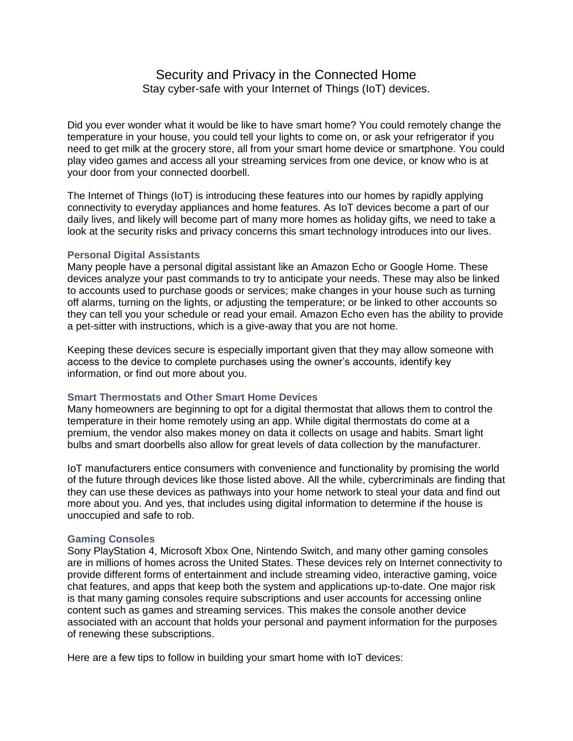## Security and Privacy in the Connected Home Stay cyber-safe with your Internet of Things (IoT) devices.

Did you ever wonder what it would be like to have smart home? You could remotely change the temperature in your house, you could tell your lights to come on, or ask your refrigerator if you need to get milk at the grocery store, all from your smart home device or smartphone. You could play video games and access all your streaming services from one device, or know who is at your door from your connected doorbell.

The Internet of Things (IoT) is introducing these features into our homes by rapidly applying connectivity to everyday appliances and home features. As IoT devices become a part of our daily lives, and likely will become part of many more homes as holiday gifts, we need to take a look at the security risks and privacy concerns this smart technology introduces into our lives.

## **Personal Digital Assistants**

Many people have a personal digital assistant like an Amazon Echo or Google Home. These devices analyze your past commands to try to anticipate your needs. These may also be linked to accounts used to purchase goods or services; make changes in your house such as turning off alarms, turning on the lights, or adjusting the temperature; or be linked to other accounts so they can tell you your schedule or read your email. Amazon Echo even has the ability to provide a pet-sitter with instructions, which is a give-away that you are not home.

Keeping these devices secure is especially important given that they may allow someone with access to the device to complete purchases using the owner's accounts, identify key information, or find out more about you.

## **Smart Thermostats and Other Smart Home Devices**

Many homeowners are beginning to opt for a digital thermostat that allows them to control the temperature in their home remotely using an app. While digital thermostats do come at a premium, the vendor also makes money on data it collects on usage and habits. Smart light bulbs and smart doorbells also allow for great levels of data collection by the manufacturer.

IoT manufacturers entice consumers with convenience and functionality by promising the world of the future through devices like those listed above. All the while, cybercriminals are finding that they can use these devices as pathways into your home network to steal your data and find out more about you. And yes, that includes using digital information to determine if the house is unoccupied and safe to rob.

## **Gaming Consoles**

Sony PlayStation 4, Microsoft Xbox One, Nintendo Switch, and many other gaming consoles are in millions of homes across the United States. These devices rely on Internet connectivity to provide different forms of entertainment and include streaming video, interactive gaming, voice chat features, and apps that keep both the system and applications up-to-date. One major risk is that many gaming consoles require subscriptions and user accounts for accessing online content such as games and streaming services. This makes the console another device associated with an account that holds your personal and payment information for the purposes of renewing these subscriptions.

Here are a few tips to follow in building your smart home with IoT devices: